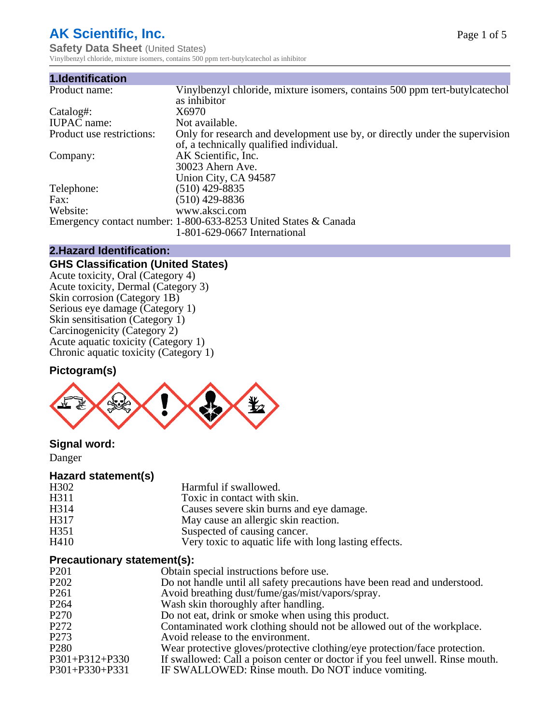# **AK Scientific, Inc.**

**Safety Data Sheet (United States)** Vinylbenzyl chloride, mixture isomers, contains 500 ppm tert-butylcatechol as inhibitor

| 1.Identification          |                                                                             |
|---------------------------|-----------------------------------------------------------------------------|
| Product name:             | Vinylbenzyl chloride, mixture isomers, contains 500 ppm tert-butylcatechol  |
|                           | as inhibitor                                                                |
| Catalog#:                 | X6970                                                                       |
| <b>IUPAC</b> name:        | Not available.                                                              |
| Product use restrictions: | Only for research and development use by, or directly under the supervision |
|                           | of, a technically qualified individual.                                     |
| Company:                  | AK Scientific, Inc.                                                         |
|                           | 30023 Ahern Ave.                                                            |
|                           | Union City, CA 94587                                                        |
| Telephone:                | $(510)$ 429-8835                                                            |
| Fax:                      | (510) 429-8836                                                              |
| Website:                  | www.aksci.com                                                               |
|                           | Emergency contact number: 1-800-633-8253 United States & Canada             |
|                           | 1-801-629-0667 International                                                |

#### **2.Hazard Identification:**

#### **GHS Classification (United States)**

Acute toxicity, Oral (Category 4) Acute toxicity, Dermal (Category 3) Skin corrosion (Category 1B) Serious eye damage (Category 1) Skin sensitisation (Category 1) Carcinogenicity (Category 2) Acute aquatic toxicity (Category 1) Chronic aquatic toxicity (Category 1)

#### **Pictogram(s)**



#### **Signal word:**

Danger

#### **Hazard statement(s)**

| Harmful if swallowed.                                 |
|-------------------------------------------------------|
| Toxic in contact with skin.                           |
| Causes severe skin burns and eye damage.              |
| May cause an allergic skin reaction.                  |
| Suspected of causing cancer.                          |
| Very toxic to aquatic life with long lasting effects. |
|                                                       |

#### **Precautionary statement(s):**

| $\ldots$                      |                                                                               |
|-------------------------------|-------------------------------------------------------------------------------|
| P <sub>201</sub>              | Obtain special instructions before use.                                       |
| P <sub>2</sub> 0 <sub>2</sub> | Do not handle until all safety precautions have been read and understood.     |
| P <sub>261</sub>              | Avoid breathing dust/fume/gas/mist/vapors/spray.                              |
| P <sub>264</sub>              | Wash skin thoroughly after handling.                                          |
| P <sub>270</sub>              | Do not eat, drink or smoke when using this product.                           |
| P <sub>272</sub>              | Contaminated work clothing should not be allowed out of the workplace.        |
| P <sub>273</sub>              | Avoid release to the environment.                                             |
| P <sub>280</sub>              | Wear protective gloves/protective clothing/eye protection/face protection.    |
| P301+P312+P330                | If swallowed: Call a poison center or doctor if you feel unwell. Rinse mouth. |
| P301+P330+P331                | IF SWALLOWED: Rinse mouth. Do NOT induce vomiting.                            |
|                               |                                                                               |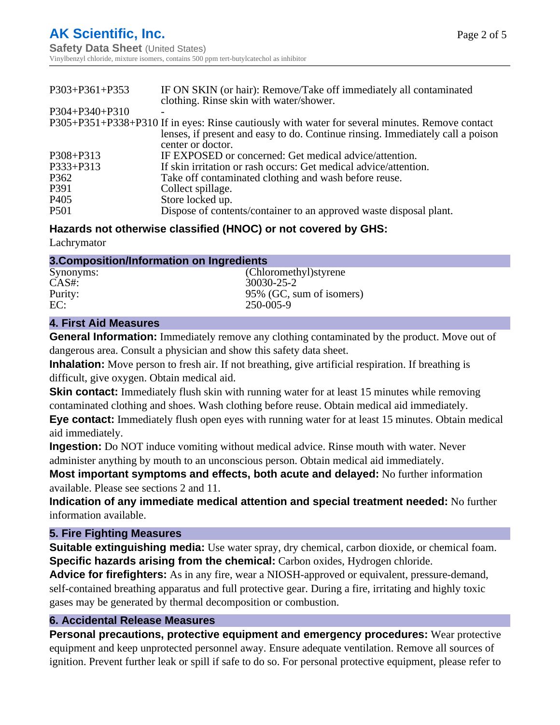| IF ON SKIN (or hair): Remove/Take off immediately all contaminated<br>clothing. Rinse skin with water/shower. |
|---------------------------------------------------------------------------------------------------------------|
|                                                                                                               |
| P305+P351+P338+P310 If in eyes: Rinse cautiously with water for several minutes. Remove contact               |
| lenses, if present and easy to do. Continue rinsing. Immediately call a poison<br>center or doctor.           |
| IF EXPOSED or concerned: Get medical advice/attention.                                                        |
| If skin irritation or rash occurs: Get medical advice/attention.                                              |
| Take off contaminated clothing and wash before reuse.                                                         |
| Collect spillage.                                                                                             |
| Store locked up.                                                                                              |
| Dispose of contents/container to an approved waste disposal plant.                                            |
|                                                                                                               |

#### **Hazards not otherwise classified (HNOC) or not covered by GHS:**

Lachrymator

| 3. Composition/Information on Ingredients |                          |  |
|-------------------------------------------|--------------------------|--|
| Synonyms:                                 | (Chloromethyl) styrene   |  |
| $CAS#$ :                                  | 30030-25-2               |  |
| Purity:                                   | 95% (GC, sum of isomers) |  |
| EC:                                       | 250-005-9                |  |

#### **4. First Aid Measures**

**General Information:** Immediately remove any clothing contaminated by the product. Move out of dangerous area. Consult a physician and show this safety data sheet.

**Inhalation:** Move person to fresh air. If not breathing, give artificial respiration. If breathing is difficult, give oxygen. Obtain medical aid.

**Skin contact:** Immediately flush skin with running water for at least 15 minutes while removing contaminated clothing and shoes. Wash clothing before reuse. Obtain medical aid immediately. **Eye contact:** Immediately flush open eyes with running water for at least 15 minutes. Obtain medical aid immediately.

**Ingestion:** Do NOT induce vomiting without medical advice. Rinse mouth with water. Never administer anything by mouth to an unconscious person. Obtain medical aid immediately.

**Most important symptoms and effects, both acute and delayed:** No further information available. Please see sections 2 and 11.

**Indication of any immediate medical attention and special treatment needed:** No further information available.

#### **5. Fire Fighting Measures**

**Suitable extinguishing media:** Use water spray, dry chemical, carbon dioxide, or chemical foam. **Specific hazards arising from the chemical:** Carbon oxides, Hydrogen chloride.

**Advice for firefighters:** As in any fire, wear a NIOSH-approved or equivalent, pressure-demand, self-contained breathing apparatus and full protective gear. During a fire, irritating and highly toxic gases may be generated by thermal decomposition or combustion.

### **6. Accidental Release Measures**

**Personal precautions, protective equipment and emergency procedures:** Wear protective equipment and keep unprotected personnel away. Ensure adequate ventilation. Remove all sources of ignition. Prevent further leak or spill if safe to do so. For personal protective equipment, please refer to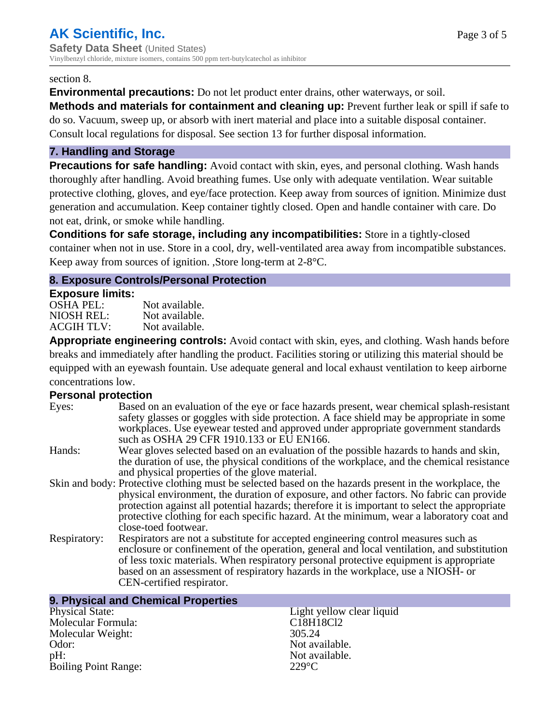#### section 8.

**Environmental precautions:** Do not let product enter drains, other waterways, or soil.

**Methods and materials for containment and cleaning up:** Prevent further leak or spill if safe to do so. Vacuum, sweep up, or absorb with inert material and place into a suitable disposal container. Consult local regulations for disposal. See section 13 for further disposal information.

#### **7. Handling and Storage**

**Precautions for safe handling:** Avoid contact with skin, eyes, and personal clothing. Wash hands thoroughly after handling. Avoid breathing fumes. Use only with adequate ventilation. Wear suitable protective clothing, gloves, and eye/face protection. Keep away from sources of ignition. Minimize dust generation and accumulation. Keep container tightly closed. Open and handle container with care. Do not eat, drink, or smoke while handling.

**Conditions for safe storage, including any incompatibilities:** Store in a tightly-closed container when not in use. Store in a cool, dry, well-ventilated area away from incompatible substances. Keep away from sources of ignition. ,Store long-term at 2-8°C.

#### **8. Exposure Controls/Personal Protection**

#### **Exposure limits:**

| <b>OSHA PEL:</b>  | Not available. |
|-------------------|----------------|
| NIOSH REL:        | Not available. |
| <b>ACGIH TLV:</b> | Not available. |

**Appropriate engineering controls:** Avoid contact with skin, eyes, and clothing. Wash hands before breaks and immediately after handling the product. Facilities storing or utilizing this material should be equipped with an eyewash fountain. Use adequate general and local exhaust ventilation to keep airborne concentrations low.

#### **Personal protection**

| Eyes:        | Based on an evaluation of the eye or face hazards present, wear chemical splash-resistant<br>safety glasses or goggles with side protection. A face shield may be appropriate in some<br>workplaces. Use eyewear tested and approved under appropriate government standards<br>such as OSHA 29 CFR 1910.133 or EU EN166.                                                                                                |
|--------------|-------------------------------------------------------------------------------------------------------------------------------------------------------------------------------------------------------------------------------------------------------------------------------------------------------------------------------------------------------------------------------------------------------------------------|
| Hands:       | Wear gloves selected based on an evaluation of the possible hazards to hands and skin,<br>the duration of use, the physical conditions of the workplace, and the chemical resistance<br>and physical properties of the glove material.                                                                                                                                                                                  |
|              | Skin and body: Protective clothing must be selected based on the hazards present in the workplace, the<br>physical environment, the duration of exposure, and other factors. No fabric can provide<br>protection against all potential hazards; therefore it is important to select the appropriate<br>protective clothing for each specific hazard. At the minimum, wear a laboratory coat and<br>close-toed footwear. |
| Respiratory: | Respirators are not a substitute for accepted engineering control measures such as<br>enclosure or confinement of the operation, general and local ventilation, and substitution<br>of less toxic materials. When respiratory personal protective equipment is appropriate<br>based on an assessment of respiratory hazards in the workplace, use a NIOSH- or<br>CEN-certified respirator.                              |

| 9. Physical and Chemical Properties |                           |
|-------------------------------------|---------------------------|
| <b>Physical State:</b>              | Light yellow clear liquid |
| Molecular Formula:                  | C18H18Cl2                 |
| Molecular Weight:                   | 305.24                    |
| Odor:                               | Not available.            |
| $pH$ :                              | Not available.            |
| <b>Boiling Point Range:</b>         | $229^{\circ}$ C           |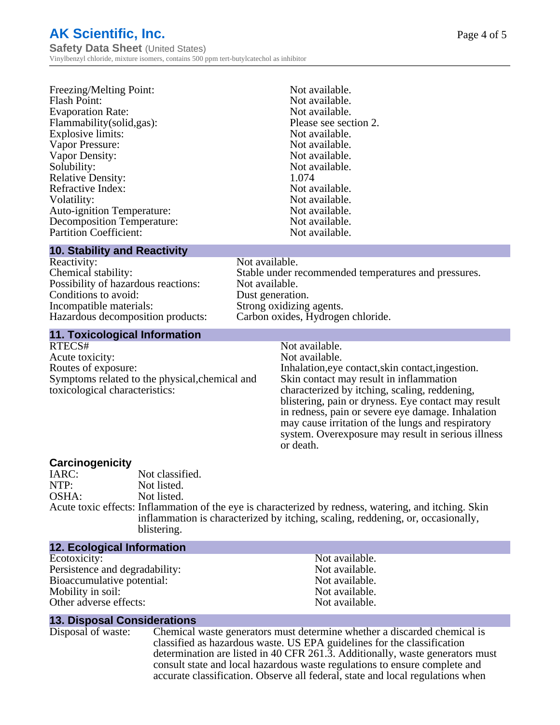# **AK Scientific, Inc.**

**Safety Data Sheet** (United States) Vinylbenzyl chloride, mixture isomers, contains 500 ppm tert-butylcatechol as inhibitor

| Flammability(solid,gas):          | Please see section 2. |
|-----------------------------------|-----------------------|
| Explosive limits:                 | Not available.        |
| Vapor Pressure:                   | Not available.        |
| Vapor Density:                    | Not available.        |
| Solubility:                       | Not available.        |
| <b>Relative Density:</b>          | 1.074                 |
| Refractive Index:                 | Not available.        |
| Volatility:                       | Not available.        |
| <b>Auto-ignition Temperature:</b> | Not available.        |
| <b>Decomposition Temperature:</b> | Not available.        |
| <b>Partition Coefficient:</b>     | Not available.        |

#### **10. Stability and Reactivity**

Reactivity: Not available.<br>Chemical stability: Stable under re Possibility of hazardous reactions: Not available. Conditions to avoid: Dust generation. Incompatible materials:<br>
Hazardous decomposition products: Carbon oxides, Hydrogen chloride. Hazardous decomposition products:

# Stable under recommended temperatures and pressures.

#### **11. Toxicological Information**

RTECS# Not available.<br>Acute toxicity: Not available. Acute toxicity: Routes of exposure: Inhalation, eye contact, skin contact, ingestion. Symptoms related to the physical,chemical and toxicological characteristics:

# Skin contact may result in inflammation characterized by itching, scaling, reddening, blistering, pain or dryness. Eye contact may result in redness, pain or severe eye damage. Inhalation may cause irritation of the lungs and respiratory system. Overexposure may result in serious illness or death.

**Carcinogenicity** Not classified. NTP: Not listed. OSHA: Not listed. Acute toxic effects: Inflammation of the eye is characterized by redness, watering, and itching. Skin inflammation is characterized by itching, scaling, reddening, or, occasionally, blistering.

#### **12. Ecological Information**

Ecotoxicity: Not available.<br>
Not available.<br>
Not available.<br>
Not available. Persistence and degradability:<br>Bioaccumulative potential: Not available.<br>Not available. Bioaccumulative potential: Mobility in soil: Not available. Other adverse effects: Not available.

#### **13. Disposal Considerations**

Disposal of waste: Chemical waste generators must determine whether a discarded chemical is classified as hazardous waste. US EPA guidelines for the classification determination are listed in 40 CFR 261.3. Additionally, waste generators must consult state and local hazardous waste regulations to ensure complete and accurate classification. Observe all federal, state and local regulations when